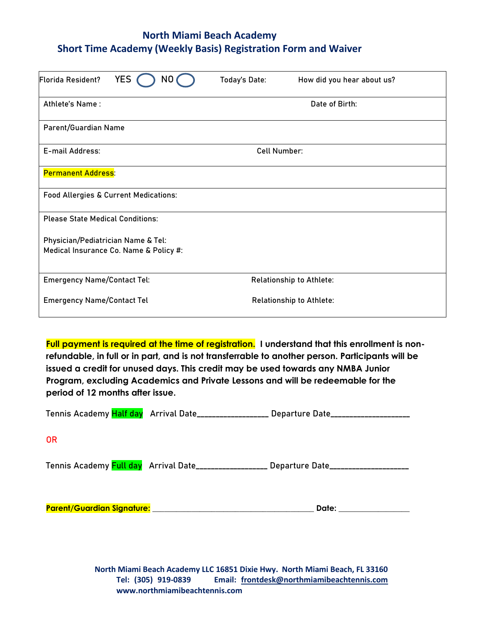# **North Miami Beach Academy Short Time Academy (Weekly Basis) Registration Form and Waiver**

| <b>Florida Resident?</b>                | <b>YES</b><br>N0                                 | Today's Date: | How did you hear about us?      |  |
|-----------------------------------------|--------------------------------------------------|---------------|---------------------------------|--|
| Athlete's Name:                         |                                                  |               | Date of Birth:                  |  |
| Parent/Guardian Name                    |                                                  |               |                                 |  |
| E-mail Address:                         |                                                  |               | <b>Cell Number:</b>             |  |
| <b>Permanent Address:</b>               |                                                  |               |                                 |  |
|                                         | <b>Food Allergies &amp; Current Medications:</b> |               |                                 |  |
| <b>Please State Medical Conditions:</b> |                                                  |               |                                 |  |
| Physician/Pediatrician Name & Tel:      | Medical Insurance Co. Name & Policy #:           |               |                                 |  |
| <b>Emergency Name/Contact Tel:</b>      |                                                  |               | Relationship to Athlete:        |  |
| <b>Emergency Name/Contact Tel</b>       |                                                  |               | <b>Relationship to Athlete:</b> |  |

**Full payment is required at the time of registration. I understand that this enrollment is nonrefundable, in full or in part, and is not transferrable to another person. Participants will be issued a credit for unused days. This credit may be used towards any NMBA Junior Program, excluding Academics and Private Lessons and will be redeemable for the period of 12 months after issue.**

|           |                                                                                                                | Tennis Academy Half day Arrival Date__________________ Departure Date__________________ |
|-----------|----------------------------------------------------------------------------------------------------------------|-----------------------------------------------------------------------------------------|
| <b>OR</b> |                                                                                                                |                                                                                         |
|           |                                                                                                                | Tennis Academy Full day Arrival Date__________________ Departure Date__________________ |
|           | Parent/Guardian Signature: Manual Account of the Contract of the Contract of the Contract of the Contract of t | Date: ________________                                                                  |

**North Miami Beach Academy LLC 16851 Dixie Hwy. North Miami Beach, FL 33160 Tel: (305) 919-0839 Email: frontdesk@northmiamibeachtennis.com www.northmiamibeachtennis.com**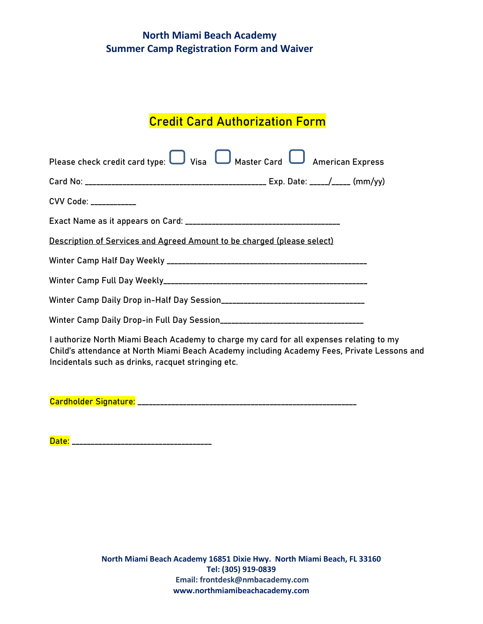# **North Miami Beach Academy Summer Camp Registration Form and Waiver**

# Credit Card Authorization Form

| Please check credit card type: $\Box$ Visa $\Box$ Master Card $\Box$ American Express |  |  |  |  |  |
|---------------------------------------------------------------------------------------|--|--|--|--|--|
|                                                                                       |  |  |  |  |  |
| CVV Code: ___________                                                                 |  |  |  |  |  |
|                                                                                       |  |  |  |  |  |
| Description of Services and Agreed Amount to be charged (please select)               |  |  |  |  |  |
|                                                                                       |  |  |  |  |  |
|                                                                                       |  |  |  |  |  |
|                                                                                       |  |  |  |  |  |
|                                                                                       |  |  |  |  |  |
| Lauthorize North Miami Beach Academy to charge my card for all expenses relating to m |  |  |  |  |  |

I authorize North Miami Beach Academy to charge my card for all expenses relating to my Child's attendance at North Miami Beach Academy including Academy Fees, Private Lessons and Incidentals such as drinks, racquet stringing etc.

Cardholder Signature: \_\_\_\_\_\_\_\_\_\_\_\_\_\_\_\_\_\_\_\_\_\_\_\_\_\_\_\_\_\_\_\_\_\_\_\_\_\_\_\_\_\_\_\_\_\_\_\_\_\_\_\_\_\_\_\_\_\_

Date: \_\_\_\_\_\_\_\_\_\_\_\_\_\_\_\_\_\_\_\_\_\_\_\_\_\_\_\_\_\_\_\_\_\_\_\_\_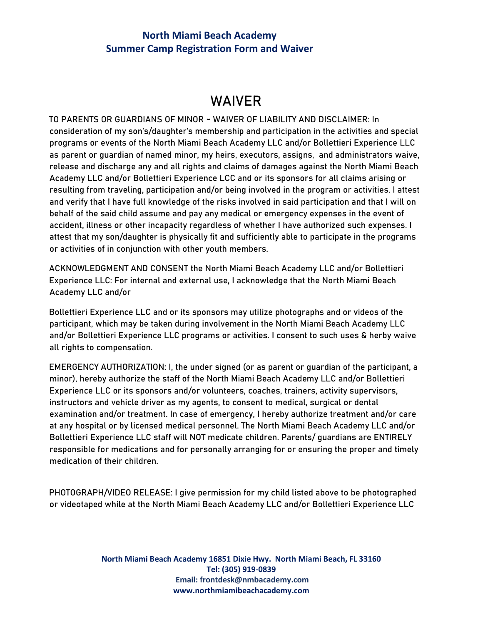#### **North Miami Beach Academy Summer Camp Registration Form and Waiver**

# WAIVER

TO PARENTS OR GUARDIANS OF MINOR ~ WAIVER OF LIABILITY AND DISCLAIMER: In consideration of my son's/daughter's membership and participation in the activities and special programs or events of the North Miami Beach Academy LLC and/or Bollettieri Experience LLC as parent or guardian of named minor, my heirs, executors, assigns, and administrators waive, release and discharge any and all rights and claims of damages against the North Miami Beach Academy LLC and/or Bollettieri Experience LCC and or its sponsors for all claims arising or resulting from traveling, participation and/or being involved in the program or activities. I attest and verify that I have full knowledge of the risks involved in said participation and that I will on behalf of the said child assume and pay any medical or emergency expenses in the event of accident, illness or other incapacity regardless of whether I have authorized such expenses. I attest that my son/daughter is physically fit and sufficiently able to participate in the programs or activities of in conjunction with other youth members.

ACKNOWLEDGMENT AND CONSENT the North Miami Beach Academy LLC and/or Bollettieri Experience LLC: For internal and external use, I acknowledge that the North Miami Beach Academy LLC and/or

Bollettieri Experience LLC and or its sponsors may utilize photographs and or videos of the participant, which may be taken during involvement in the North Miami Beach Academy LLC and/or Bollettieri Experience LLC programs or activities. I consent to such uses & herby waive all rights to compensation.

EMERGENCY AUTHORIZATION: I, the under signed (or as parent or guardian of the participant, a minor), hereby authorize the staff of the North Miami Beach Academy LLC and/or Bollettieri Experience LLC or its sponsors and/or volunteers, coaches, trainers, activity supervisors, instructors and vehicle driver as my agents, to consent to medical, surgical or dental examination and/or treatment. In case of emergency, I hereby authorize treatment and/or care at any hospital or by licensed medical personnel. The North Miami Beach Academy LLC and/or Bollettieri Experience LLC staff will NOT medicate children. Parents/ guardians are ENTIRELY responsible for medications and for personally arranging for or ensuring the proper and timely medication of their children.

PHOTOGRAPH/VIDEO RELEASE: I give permission for my child listed above to be photographed or videotaped while at the North Miami Beach Academy LLC and/or Bollettieri Experience LLC

> **North Miami Beach Academy 16851 Dixie Hwy. North Miami Beach, FL 33160 Tel: (305) 919-0839 Email: [frontdesk@nmbacademy.com](mailto:frontdesk@nmbacademy.com) www.northmiamibeachacademy.com**